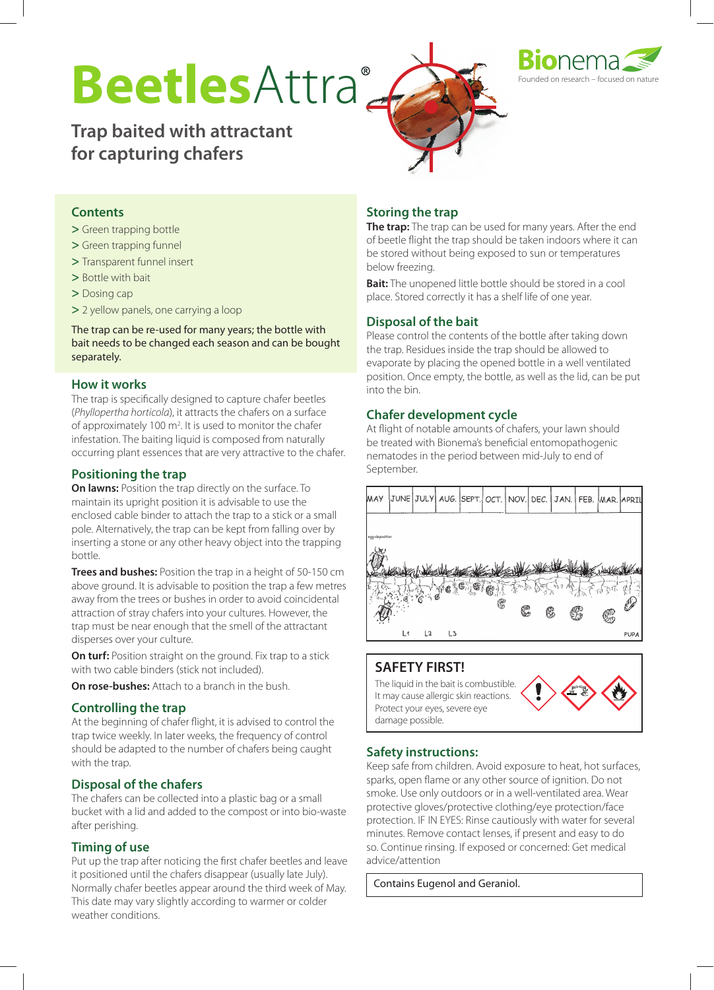# BeetlesAttra®



**Trap baited with attractant for capturing chafers**



#### **Contents**

- **>** Green trapping bottle
- **>** Green trapping funnel
- **>** Transparent funnel insert
- **>** Bottle with bait
- **>** Dosing cap
- **>** 2 yellow panels, one carrying a loop

The trap can be re-used for many years; the bottle with bait needs to be changed each season and can be bought separately.

#### **How it works**

The trap is specifically designed to capture chafer beetles (*Phyllopertha horticola*), it attracts the chafers on a surface of approximately 100 m<sup>2</sup>. It is used to monitor the chafer infestation. The baiting liquid is composed from naturally occurring plant essences that are very attractive to the chafer.

#### **Positioning the trap**

**On lawns:** Position the trap directly on the surface. To maintain its upright position it is advisable to use the enclosed cable binder to attach the trap to a stick or a small pole. Alternatively, the trap can be kept from falling over by inserting a stone or any other heavy object into the trapping bottle.

**Trees and bushes:** Position the trap in a height of 50-150 cm above ground. It is advisable to position the trap a few metres away from the trees or bushes in order to avoid coincidental attraction of stray chafers into your cultures. However, the trap must be near enough that the smell of the attractant disperses over your culture.

**On turf:** Position straight on the ground. Fix trap to a stick with two cable binders (stick not included).

**On rose-bushes:** Attach to a branch in the bush.

#### **Controlling the trap**

At the beginning of chafer flight, it is advised to control the trap twice weekly. In later weeks, the frequency of control should be adapted to the number of chafers being caught with the trap.

#### **Disposal of the chafers**

The chafers can be collected into a plastic bag or a small bucket with a lid and added to the compost or into bio-waste after perishing.

#### **Timing of use**

Put up the trap after noticing the first chafer beetles and leave it positioned until the chafers disappear (usually late July). Normally chafer beetles appear around the third week of May. This date may vary slightly according to warmer or colder weather conditions.

#### **Storing the trap**

**The trap:** The trap can be used for many years. After the end of beetle flight the trap should be taken indoors where it can be stored without being exposed to sun or temperatures below freezing.

**Bait:** The unopened little bottle should be stored in a cool place. Stored correctly it has a shelf life of one year.

#### **Disposal of the bait**

Please control the contents of the bottle after taking down the trap. Residues inside the trap should be allowed to evaporate by placing the opened bottle in a well ventilated position. Once empty, the bottle, as well as the lid, can be put into the bin.

#### **Chafer development cycle**

At flight of notable amounts of chafers, your lawn should be treated with Bionema's beneficial entomopathogenic nematodes in the period between mid-July to end of September.



#### **SAFETY FIRST!**

The liquid in the bait is combustible. It may cause allergic skin reactions. Protect your eyes, severe eye damage possible.

#### **Safety instructions:**

Keep safe from children. Avoid exposure to heat, hot surfaces, sparks, open flame or any other source of ignition. Do not smoke. Use only outdoors or in a well-ventilated area. Wear protective gloves/protective clothing/eye protection/face protection. IF IN EYES: Rinse cautiously with water for several minutes. Remove contact lenses, if present and easy to do so. Continue rinsing. If exposed or concerned: Get medical advice/attention

Contains Eugenol and Geraniol.